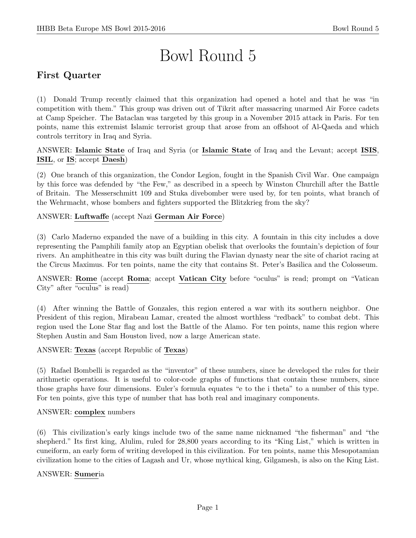# Bowl Round 5

# First Quarter

(1) Donald Trump recently claimed that this organization had opened a hotel and that he was "in competition with them." This group was driven out of Tikrit after massacring unarmed Air Force cadets at Camp Speicher. The Bataclan was targeted by this group in a November 2015 attack in Paris. For ten points, name this extremist Islamic terrorist group that arose from an offshoot of Al-Qaeda and which controls territory in Iraq and Syria.

ANSWER: Islamic State of Iraq and Syria (or Islamic State of Iraq and the Levant; accept ISIS, ISIL, or IS; accept Daesh)

(2) One branch of this organization, the Condor Legion, fought in the Spanish Civil War. One campaign by this force was defended by "the Few," as described in a speech by Winston Churchill after the Battle of Britain. The Messerschmitt 109 and Stuka divebomber were used by, for ten points, what branch of the Wehrmacht, whose bombers and fighters supported the Blitzkrieg from the sky?

# ANSWER: Luftwaffe (accept Nazi German Air Force)

(3) Carlo Maderno expanded the nave of a building in this city. A fountain in this city includes a dove representing the Pamphili family atop an Egyptian obelisk that overlooks the fountain's depiction of four rivers. An amphitheatre in this city was built during the Flavian dynasty near the site of chariot racing at the Circus Maximus. For ten points, name the city that contains St. Peter's Basilica and the Colosseum.

ANSWER: Rome (accept Roma; accept Vatican City before "oculus" is read; prompt on "Vatican City" after "oculus" is read)

(4) After winning the Battle of Gonzales, this region entered a war with its southern neighbor. One President of this region, Mirabeau Lamar, created the almost worthless "redback" to combat debt. This region used the Lone Star flag and lost the Battle of the Alamo. For ten points, name this region where Stephen Austin and Sam Houston lived, now a large American state.

ANSWER: Texas (accept Republic of Texas)

(5) Rafael Bombelli is regarded as the "inventor" of these numbers, since he developed the rules for their arithmetic operations. It is useful to color-code graphs of functions that contain these numbers, since those graphs have four dimensions. Euler's formula equates "e to the i theta" to a number of this type. For ten points, give this type of number that has both real and imaginary components.

#### ANSWER: complex numbers

(6) This civilization's early kings include two of the same name nicknamed "the fisherman" and "the shepherd." Its first king, Alulim, ruled for 28,800 years according to its "King List," which is written in cuneiform, an early form of writing developed in this civilization. For ten points, name this Mesopotamian civilization home to the cities of Lagash and Ur, whose mythical king, Gilgamesh, is also on the King List.

#### ANSWER: Sumeria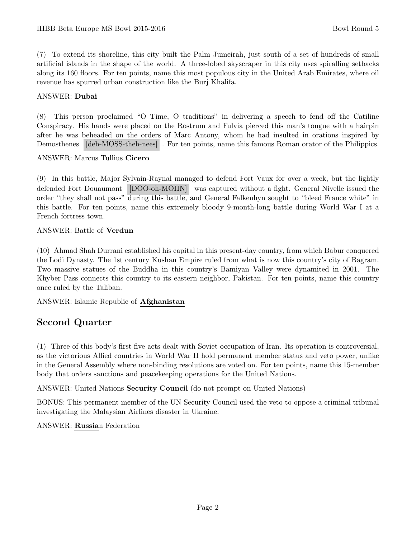(7) To extend its shoreline, this city built the Palm Jumeirah, just south of a set of hundreds of small artificial islands in the shape of the world. A three-lobed skyscraper in this city uses spiralling setbacks along its 160 floors. For ten points, name this most populous city in the United Arab Emirates, where oil revenue has spurred urban construction like the Burj Khalifa.

### ANSWER: Dubai

(8) This person proclaimed "O Time, O traditions" in delivering a speech to fend off the Catiline Conspiracy. His hands were placed on the Rostrum and Fulvia pierced this man's tongue with a hairpin after he was beheaded on the orders of Marc Antony, whom he had insulted in orations inspired by Demosthenes [deh-MOSS-theh-nees] . For ten points, name this famous Roman orator of the Philippics.

ANSWER: Marcus Tullius Cicero

(9) In this battle, Major Sylvain-Raynal managed to defend Fort Vaux for over a week, but the lightly defended Fort Douaumont [DOO-oh-MOHN] was captured without a fight. General Nivelle issued the order "they shall not pass" during this battle, and General Falkenhyn sought to "bleed France white" in this battle. For ten points, name this extremely bloody 9-month-long battle during World War I at a French fortress town.

### ANSWER: Battle of Verdun

(10) Ahmad Shah Durrani established his capital in this present-day country, from which Babur conquered the Lodi Dynasty. The 1st century Kushan Empire ruled from what is now this country's city of Bagram. Two massive statues of the Buddha in this country's Bamiyan Valley were dynamited in 2001. The Khyber Pass connects this country to its eastern neighbor, Pakistan. For ten points, name this country once ruled by the Taliban.

ANSWER: Islamic Republic of Afghanistan

# Second Quarter

(1) Three of this body's first five acts dealt with Soviet occupation of Iran. Its operation is controversial, as the victorious Allied countries in World War II hold permanent member status and veto power, unlike in the General Assembly where non-binding resolutions are voted on. For ten points, name this 15-member body that orders sanctions and peacekeeping operations for the United Nations.

ANSWER: United Nations Security Council (do not prompt on United Nations)

BONUS: This permanent member of the UN Security Council used the veto to oppose a criminal tribunal investigating the Malaysian Airlines disaster in Ukraine.

# ANSWER: Russian Federation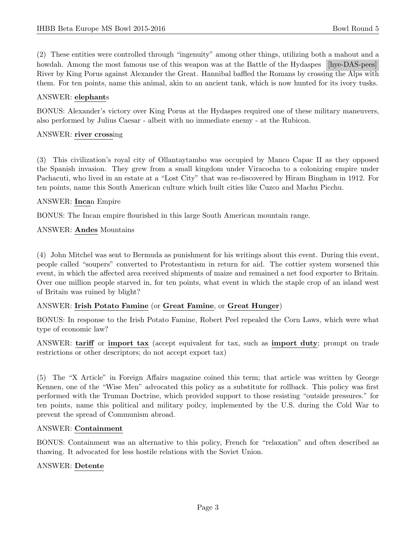(2) These entities were controlled through "ingenuity" among other things, utilizing both a mahout and a howdah. Among the most famous use of this weapon was at the Battle of the Hydaspes [hye-DAS-pees] River by King Porus against Alexander the Great. Hannibal baffled the Romans by crossing the Alps with them. For ten points, name this animal, akin to an ancient tank, which is now hunted for its ivory tusks.

### ANSWER: elephants

BONUS: Alexander's victory over King Porus at the Hydaspes required one of these military maneuvers, also performed by Julius Caesar - albeit with no immediate enemy - at the Rubicon.

#### ANSWER: river crossing

(3) This civilization's royal city of Ollantaytambo was occupied by Manco Capac II as they opposed the Spanish invasion. They grew from a small kingdom under Viracocha to a colonizing empire under Pachacuti, who lived in an estate at a "Lost City" that was re-discovered by Hiram Bingham in 1912. For ten points, name this South American culture which built cities like Cuzco and Machu Picchu.

### ANSWER: Incan Empire

BONUS: The Incan empire flourished in this large South American mountain range.

ANSWER: Andes Mountains

(4) John Mitchel was sent to Bermuda as punishment for his writings about this event. During this event, people called "soupers" converted to Protestantism in return for aid. The cottier system worsened this event, in which the affected area received shipments of maize and remained a net food exporter to Britain. Over one million people starved in, for ten points, what event in which the staple crop of an island west of Britain was ruined by blight?

#### ANSWER: Irish Potato Famine (or Great Famine, or Great Hunger)

BONUS: In response to the Irish Potato Famine, Robert Peel repealed the Corn Laws, which were what type of economic law?

ANSWER: tariff or import tax (accept equivalent for tax, such as import duty; prompt on trade restrictions or other descriptors; do not accept export tax)

(5) The "X Article" in Foreign Affairs magazine coined this term; that article was written by George Kennen, one of the "Wise Men" advocated this policy as a substitute for rollback. This policy was first performed with the Truman Doctrine, which provided support to those resisting "outside pressures." for ten points, name this political and military poilcy, implemented by the U.S. during the Cold War to prevent the spread of Communism abroad.

#### ANSWER: Containment

BONUS: Containment was an alternative to this policy, French for "relaxation" and often described as thawing. It advocated for less hostile relations with the Soviet Union.

#### ANSWER: Detente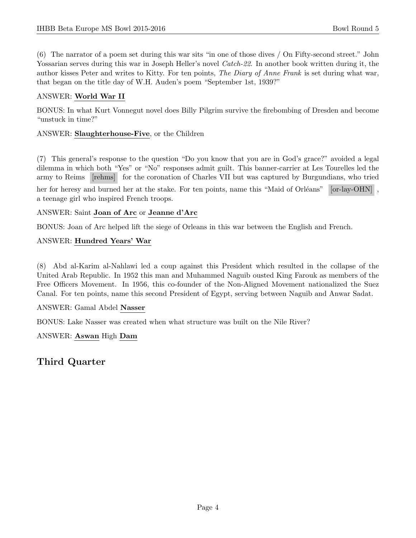(6) The narrator of a poem set during this war sits "in one of those dives / On Fifty-second street." John Yossarian serves during this war in Joseph Heller's novel Catch-22. In another book written during it, the author kisses Peter and writes to Kitty. For ten points, The Diary of Anne Frank is set during what war, that began on the title day of W.H. Auden's poem "September 1st, 1939?"

### ANSWER: World War II

BONUS: In what Kurt Vonnegut novel does Billy Pilgrim survive the firebombing of Dresden and become "unstuck in time?"

#### ANSWER: Slaughterhouse-Five, or the Children

(7) This general's response to the question "Do you know that you are in God's grace?" avoided a legal dilemma in which both "Yes" or "No" responses admit guilt. This banner-carrier at Les Tourelles led the army to Reims [rehms] for the coronation of Charles VII but was captured by Burgundians, who tried

her for heresy and burned her at the stake. For ten points, name this "Maid of Orléans" [or-lay-OHN], a teenage girl who inspired French troops.

### ANSWER: Saint Joan of Arc or Jeanne d'Arc

BONUS: Joan of Arc helped lift the siege of Orleans in this war between the English and French.

### ANSWER: Hundred Years' War

(8) Abd al-Karim al-Nahlawi led a coup against this President which resulted in the collapse of the United Arab Republic. In 1952 this man and Muhammed Naguib ousted King Farouk as members of the Free Officers Movement. In 1956, this co-founder of the Non-Aligned Movement nationalized the Suez Canal. For ten points, name this second President of Egypt, serving between Naguib and Anwar Sadat.

#### ANSWER: Gamal Abdel Nasser

BONUS: Lake Nasser was created when what structure was built on the Nile River?

ANSWER: Aswan High Dam

Third Quarter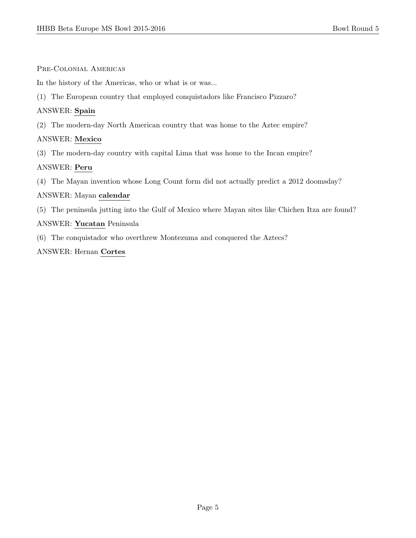#### Pre-Colonial Americas

In the history of the Americas, who or what is or was...

(1) The European country that employed conquistadors like Francisco Pizzaro?

## ANSWER: Spain

(2) The modern-day North American country that was home to the Aztec empire?

# ANSWER: Mexico

(3) The modern-day country with capital Lima that was home to the Incan empire?

# ANSWER: Peru

(4) The Mayan invention whose Long Count form did not actually predict a 2012 doomsday?

# ANSWER: Mayan calendar

(5) The peninsula jutting into the Gulf of Mexico where Mayan sites like Chichen Itza are found?

# ANSWER: Yucatan Peninsula

(6) The conquistador who overthrew Montezuma and conquered the Aztecs?

# ANSWER: Hernan Cortes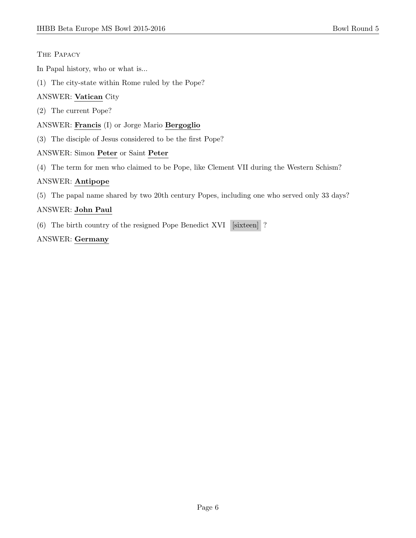# The Papacy

In Papal history, who or what is...

(1) The city-state within Rome ruled by the Pope?

# ANSWER: Vatican City

- (2) The current Pope?
- ANSWER: Francis (I) or Jorge Mario Bergoglio
- (3) The disciple of Jesus considered to be the first Pope?

# ANSWER: Simon Peter or Saint Peter

(4) The term for men who claimed to be Pope, like Clement VII during the Western Schism?

# ANSWER: Antipope

(5) The papal name shared by two 20th century Popes, including one who served only 33 days?

# ANSWER: John Paul

(6) The birth country of the resigned Pope Benedict XVI [sixteen] ?

# ANSWER: Germany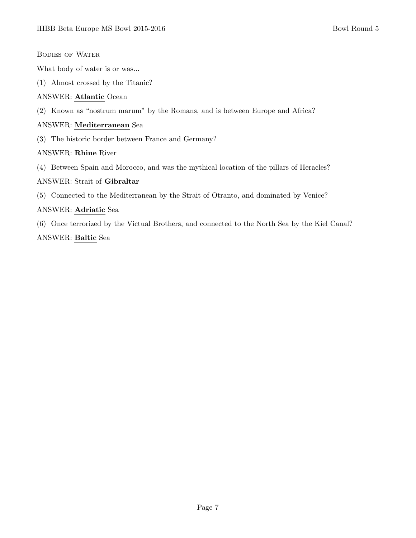Bodies of Water

What body of water is or was...

(1) Almost crossed by the Titanic?

#### ANSWER: Atlantic Ocean

(2) Known as "nostrum marum" by the Romans, and is between Europe and Africa?

#### ANSWER: Mediterranean Sea

(3) The historic border between France and Germany?

#### ANSWER: Rhine River

(4) Between Spain and Morocco, and was the mythical location of the pillars of Heracles?

#### ANSWER: Strait of Gibraltar

(5) Connected to the Mediterranean by the Strait of Otranto, and dominated by Venice?

#### ANSWER: Adriatic Sea

(6) Once terrorized by the Victual Brothers, and connected to the North Sea by the Kiel Canal?

# ANSWER: Baltic Sea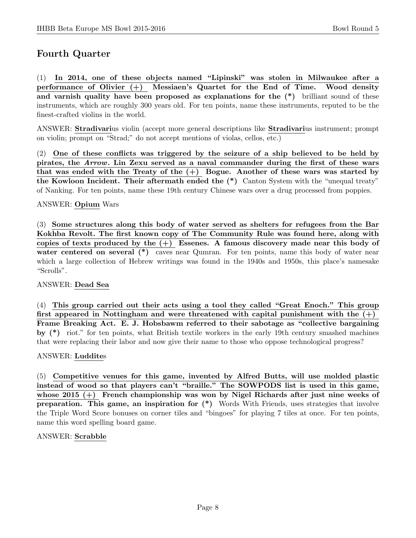# Fourth Quarter

(1) In 2014, one of these objects named "Lipinski" was stolen in Milwaukee after a performance of Olivier (+) Messiaen's Quartet for the End of Time. Wood density and varnish quality have been proposed as explanations for the (\*) brilliant sound of these instruments, which are roughly 300 years old. For ten points, name these instruments, reputed to be the finest-crafted violins in the world.

ANSWER: Stradivarius violin (accept more general descriptions like Stradivarius instrument; prompt on violin; prompt on "Strad;" do not accept mentions of violas, cellos, etc.)

(2) One of these conflicts was triggered by the seizure of a ship believed to be held by pirates, the Arrow. Lin Zexu served as a naval commander during the first of these wars that was ended with the Treaty of the  $(+)$  Bogue. Another of these wars was started by the Kowloon Incident. Their aftermath ended the (\*) Canton System with the "unequal treaty" of Nanking. For ten points, name these 19th century Chinese wars over a drug processed from poppies.

### ANSWER: Opium Wars

(3) Some structures along this body of water served as shelters for refugees from the Bar Kokhba Revolt. The first known copy of The Community Rule was found here, along with copies of texts produced by the  $(+)$  Essenes. A famous discovery made near this body of water centered on several (\*) caves near Qumran. For ten points, name this body of water near which a large collection of Hebrew writings was found in the 1940s and 1950s, this place's namesake "Scrolls".

#### ANSWER: Dead Sea

(4) This group carried out their acts using a tool they called "Great Enoch." This group first appeared in Nottingham and were threatened with capital punishment with the  $(+)$ Frame Breaking Act. E. J. Hobsbawm referred to their sabotage as "collective bargaining by (\*) riot." for ten points, what British textile workers in the early 19th century smashed machines that were replacing their labor and now give their name to those who oppose technological progress?

#### ANSWER: Luddites

(5) Competitive venues for this game, invented by Alfred Butts, will use molded plastic instead of wood so that players can't "braille." The SOWPODS list is used in this game, whose 2015  $(+)$  French championship was won by Nigel Richards after just nine weeks of preparation. This game, an inspiration for (\*) Words With Friends, uses strategies that involve the Triple Word Score bonuses on corner tiles and "bingoes" for playing 7 tiles at once. For ten points, name this word spelling board game.

#### ANSWER: Scrabble